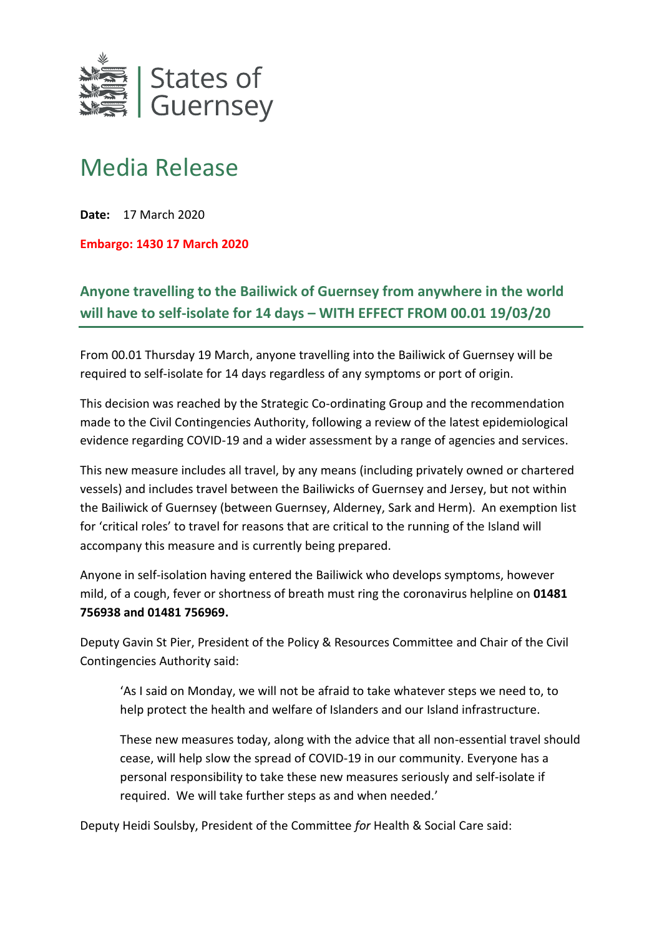

## Media Release

**Date:** 17 March 2020

**Embargo: 1430 17 March 2020**

**Anyone travelling to the Bailiwick of Guernsey from anywhere in the world will have to self-isolate for 14 days – WITH EFFECT FROM 00.01 19/03/20** 

From 00.01 Thursday 19 March, anyone travelling into the Bailiwick of Guernsey will be required to self-isolate for 14 days regardless of any symptoms or port of origin.

This decision was reached by the Strategic Co-ordinating Group and the recommendation made to the Civil Contingencies Authority, following a review of the latest epidemiological evidence regarding COVID-19 and a wider assessment by a range of agencies and services.

This new measure includes all travel, by any means (including privately owned or chartered vessels) and includes travel between the Bailiwicks of Guernsey and Jersey, but not within the Bailiwick of Guernsey (between Guernsey, Alderney, Sark and Herm). An exemption list for 'critical roles' to travel for reasons that are critical to the running of the Island will accompany this measure and is currently being prepared.

Anyone in self-isolation having entered the Bailiwick who develops symptoms, however mild, of a cough, fever or shortness of breath must ring the coronavirus helpline on **01481 756938 and 01481 756969.**

Deputy Gavin St Pier, President of the Policy & Resources Committee and Chair of the Civil Contingencies Authority said:

'As I said on Monday, we will not be afraid to take whatever steps we need to, to help protect the health and welfare of Islanders and our Island infrastructure.

These new measures today, along with the advice that all non-essential travel should cease, will help slow the spread of COVID-19 in our community. Everyone has a personal responsibility to take these new measures seriously and self-isolate if required. We will take further steps as and when needed.'

Deputy Heidi Soulsby, President of the Committee *for* Health & Social Care said: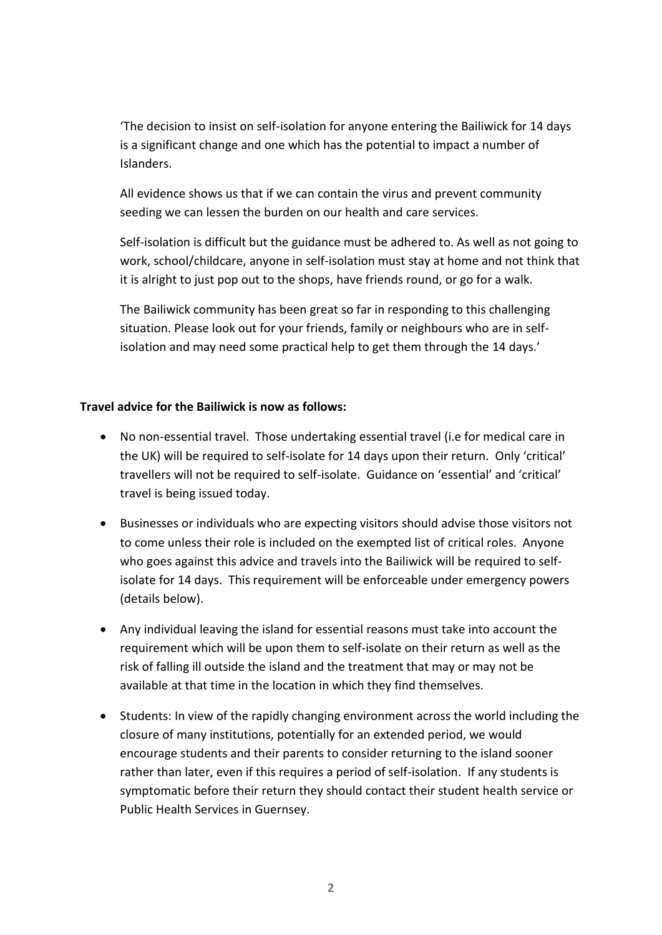'The decision to insist on self-isolation for anyone entering the Bailiwick for 14 days is a significant change and one which has the potential to impact a number of Islanders.

All evidence shows us that if we can contain the virus and prevent community seeding we can lessen the burden on our health and care services.

Self-isolation is difficult but the guidance must be adhered to. As well as not going to work, school/childcare, anyone in self-isolation must stay at home and not think that it is alright to just pop out to the shops, have friends round, or go for a walk.

The Bailiwick community has been great so far in responding to this challenging situation. Please look out for your friends, family or neighbours who are in selfisolation and may need some practical help to get them through the 14 days.'

## **Travel advice for the Bailiwick is now as follows:**

- No non-essential travel. Those undertaking essential travel (i.e for medical care in the UK) will be required to self-isolate for 14 days upon their return. Only 'critical' travellers will not be required to self-isolate. Guidance on 'essential' and 'critical' travel is being issued today.
- Businesses or individuals who are expecting visitors should advise those visitors not to come unless their role is included on the exempted list of critical roles. Anyone who goes against this advice and travels into the Bailiwick will be required to selfisolate for 14 days. This requirement will be enforceable under emergency powers (details below).
- Any individual leaving the island for essential reasons must take into account the requirement which will be upon them to self-isolate on their return as well as the risk of falling ill outside the island and the treatment that may or may not be available at that time in the location in which they find themselves.
- Students: In view of the rapidly changing environment across the world including the closure of many institutions, potentially for an extended period, we would encourage students and their parents to consider returning to the island sooner rather than later, even if this requires a period of self-isolation. If any students is symptomatic before their return they should contact their student health service or Public Health Services in Guernsey.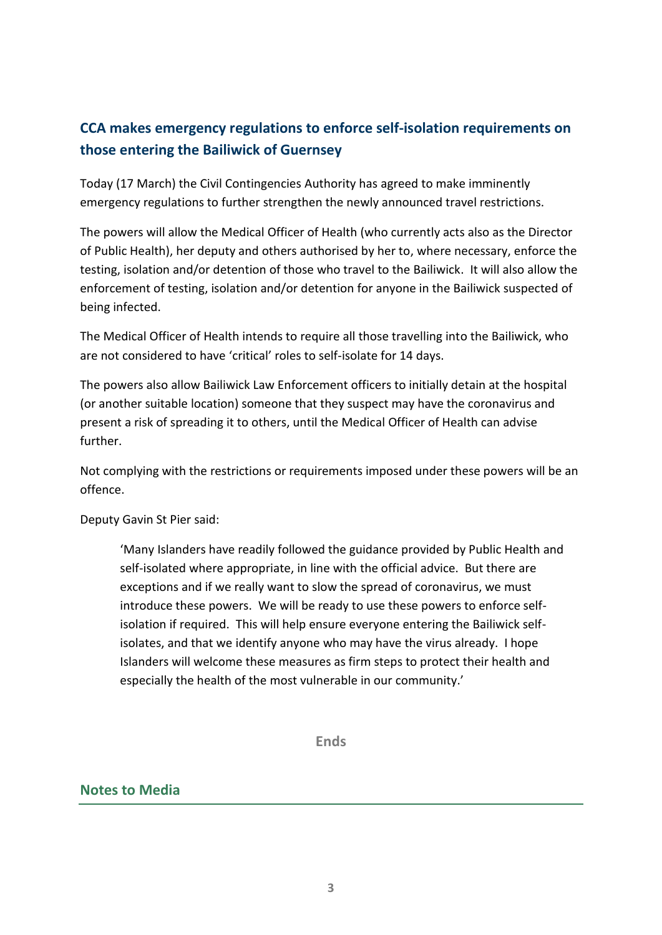## **CCA makes emergency regulations to enforce self-isolation requirements on those entering the Bailiwick of Guernsey**

Today (17 March) the Civil Contingencies Authority has agreed to make imminently emergency regulations to further strengthen the newly announced travel restrictions.

The powers will allow the Medical Officer of Health (who currently acts also as the Director of Public Health), her deputy and others authorised by her to, where necessary, enforce the testing, isolation and/or detention of those who travel to the Bailiwick. It will also allow the enforcement of testing, isolation and/or detention for anyone in the Bailiwick suspected of being infected.

The Medical Officer of Health intends to require all those travelling into the Bailiwick, who are not considered to have 'critical' roles to self-isolate for 14 days.

The powers also allow Bailiwick Law Enforcement officers to initially detain at the hospital (or another suitable location) someone that they suspect may have the coronavirus and present a risk of spreading it to others, until the Medical Officer of Health can advise further.

Not complying with the restrictions or requirements imposed under these powers will be an offence.

Deputy Gavin St Pier said:

'Many Islanders have readily followed the guidance provided by Public Health and self-isolated where appropriate, in line with the official advice. But there are exceptions and if we really want to slow the spread of coronavirus, we must introduce these powers. We will be ready to use these powers to enforce selfisolation if required. This will help ensure everyone entering the Bailiwick selfisolates, and that we identify anyone who may have the virus already. I hope Islanders will welcome these measures as firm steps to protect their health and especially the health of the most vulnerable in our community.'

**Ends**

## **Notes to Media**